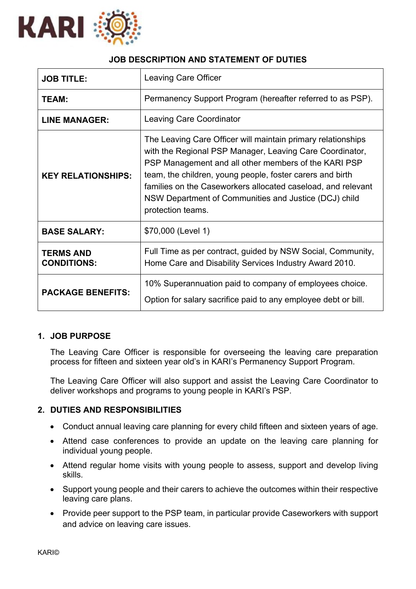

# **JOB DESCRIPTION AND STATEMENT OF DUTIES**

| <b>JOB TITLE:</b>                      | <b>Leaving Care Officer</b>                                                                                                                                                                                                                                                                                                                                                                 |
|----------------------------------------|---------------------------------------------------------------------------------------------------------------------------------------------------------------------------------------------------------------------------------------------------------------------------------------------------------------------------------------------------------------------------------------------|
| TEAM:                                  | Permanency Support Program (hereafter referred to as PSP).                                                                                                                                                                                                                                                                                                                                  |
| <b>LINE MANAGER:</b>                   | <b>Leaving Care Coordinator</b>                                                                                                                                                                                                                                                                                                                                                             |
| <b>KEY RELATIONSHIPS:</b>              | The Leaving Care Officer will maintain primary relationships<br>with the Regional PSP Manager, Leaving Care Coordinator,<br>PSP Management and all other members of the KARI PSP<br>team, the children, young people, foster carers and birth<br>families on the Caseworkers allocated caseload, and relevant<br>NSW Department of Communities and Justice (DCJ) child<br>protection teams. |
| <b>BASE SALARY:</b>                    | \$70,000 (Level 1)                                                                                                                                                                                                                                                                                                                                                                          |
| <b>TERMS AND</b><br><b>CONDITIONS:</b> | Full Time as per contract, guided by NSW Social, Community,<br>Home Care and Disability Services Industry Award 2010.                                                                                                                                                                                                                                                                       |
| <b>PACKAGE BENEFITS:</b>               | 10% Superannuation paid to company of employees choice.<br>Option for salary sacrifice paid to any employee debt or bill.                                                                                                                                                                                                                                                                   |

## **1. JOB PURPOSE**

The Leaving Care Officer is responsible for overseeing the leaving care preparation process for fifteen and sixteen year old's in KARI's Permanency Support Program.

The Leaving Care Officer will also support and assist the Leaving Care Coordinator to deliver workshops and programs to young people in KARI's PSP.

### **2. DUTIES AND RESPONSIBILITIES**

- Conduct annual leaving care planning for every child fifteen and sixteen years of age.
- Attend case conferences to provide an update on the leaving care planning for individual young people.
- Attend regular home visits with young people to assess, support and develop living skills.
- Support young people and their carers to achieve the outcomes within their respective leaving care plans.
- Provide peer support to the PSP team, in particular provide Caseworkers with support and advice on leaving care issues.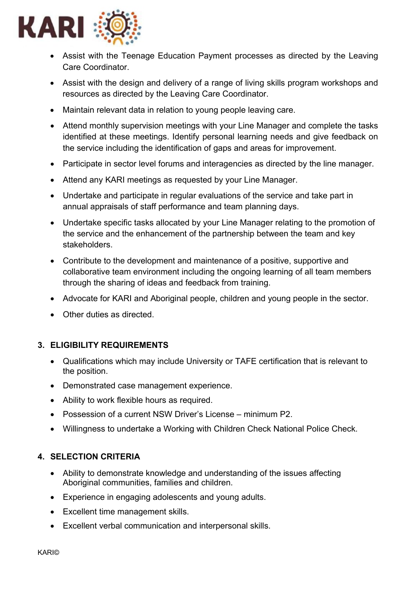

- Assist with the Teenage Education Payment processes as directed by the Leaving Care Coordinator.
- Assist with the design and delivery of a range of living skills program workshops and resources as directed by the Leaving Care Coordinator.
- Maintain relevant data in relation to young people leaving care.
- Attend monthly supervision meetings with your Line Manager and complete the tasks identified at these meetings. Identify personal learning needs and give feedback on the service including the identification of gaps and areas for improvement.
- Participate in sector level forums and interagencies as directed by the line manager.
- Attend any KARI meetings as requested by your Line Manager.
- Undertake and participate in regular evaluations of the service and take part in annual appraisals of staff performance and team planning days.
- Undertake specific tasks allocated by your Line Manager relating to the promotion of the service and the enhancement of the partnership between the team and key stakeholders.
- Contribute to the development and maintenance of a positive, supportive and collaborative team environment including the ongoing learning of all team members through the sharing of ideas and feedback from training.
- Advocate for KARI and Aboriginal people, children and young people in the sector.
- Other duties as directed.

## **3. ELIGIBILITY REQUIREMENTS**

- Qualifications which may include University or TAFE certification that is relevant to the position.
- Demonstrated case management experience.
- Ability to work flexible hours as required.
- Possession of a current NSW Driver's License minimum P2.
- Willingness to undertake a Working with Children Check National Police Check.

## **4. SELECTION CRITERIA**

- Ability to demonstrate knowledge and understanding of the issues affecting Aboriginal communities, families and children.
- Experience in engaging adolescents and young adults.
- Excellent time management skills.
- Excellent verbal communication and interpersonal skills.